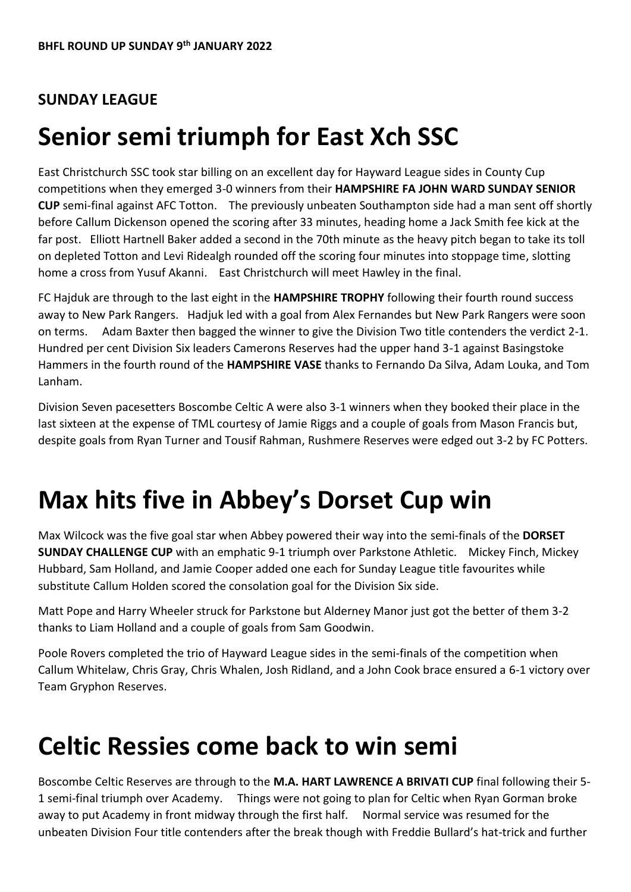#### **SUNDAY LEAGUE**

## **Senior semi triumph for East Xch SSC**

East Christchurch SSC took star billing on an excellent day for Hayward League sides in County Cup competitions when they emerged 3-0 winners from their **HAMPSHIRE FA JOHN WARD SUNDAY SENIOR CUP** semi-final against AFC Totton. The previously unbeaten Southampton side had a man sent off shortly before Callum Dickenson opened the scoring after 33 minutes, heading home a Jack Smith fee kick at the far post. Elliott Hartnell Baker added a second in the 70th minute as the heavy pitch began to take its toll on depleted Totton and Levi Ridealgh rounded off the scoring four minutes into stoppage time, slotting home a cross from Yusuf Akanni. East Christchurch will meet Hawley in the final.

FC Hajduk are through to the last eight in the **HAMPSHIRE TROPHY** following their fourth round success away to New Park Rangers. Hadjuk led with a goal from Alex Fernandes but New Park Rangers were soon on terms. Adam Baxter then bagged the winner to give the Division Two title contenders the verdict 2-1. Hundred per cent Division Six leaders Camerons Reserves had the upper hand 3-1 against Basingstoke Hammers in the fourth round of the **HAMPSHIRE VASE** thanks to Fernando Da Silva, Adam Louka, and Tom Lanham.

Division Seven pacesetters Boscombe Celtic A were also 3-1 winners when they booked their place in the last sixteen at the expense of TML courtesy of Jamie Riggs and a couple of goals from Mason Francis but, despite goals from Ryan Turner and Tousif Rahman, Rushmere Reserves were edged out 3-2 by FC Potters.

## **Max hits five in Abbey's Dorset Cup win**

Max Wilcock was the five goal star when Abbey powered their way into the semi-finals of the **DORSET SUNDAY CHALLENGE CUP** with an emphatic 9-1 triumph over Parkstone Athletic. Mickey Finch, Mickey Hubbard, Sam Holland, and Jamie Cooper added one each for Sunday League title favourites while substitute Callum Holden scored the consolation goal for the Division Six side.

Matt Pope and Harry Wheeler struck for Parkstone but Alderney Manor just got the better of them 3-2 thanks to Liam Holland and a couple of goals from Sam Goodwin.

Poole Rovers completed the trio of Hayward League sides in the semi-finals of the competition when Callum Whitelaw, Chris Gray, Chris Whalen, Josh Ridland, and a John Cook brace ensured a 6-1 victory over Team Gryphon Reserves.

## **Celtic Ressies come back to win semi**

Boscombe Celtic Reserves are through to the **M.A. HART LAWRENCE A BRIVATI CUP** final following their 5- 1 semi-final triumph over Academy. Things were not going to plan for Celtic when Ryan Gorman broke away to put Academy in front midway through the first half. Normal service was resumed for the unbeaten Division Four title contenders after the break though with Freddie Bullard's hat-trick and further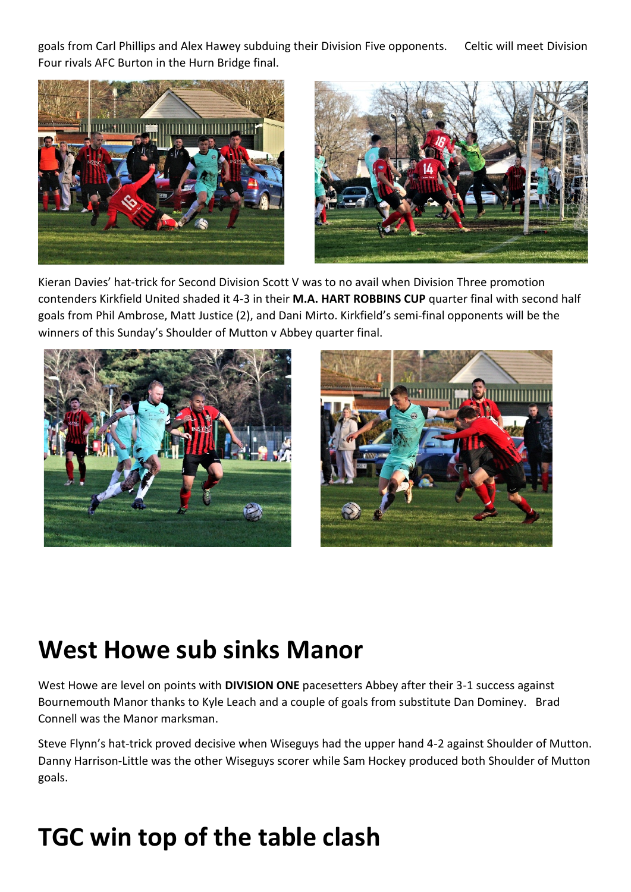goals from Carl Phillips and Alex Hawey subduing their Division Five opponents. Celtic will meet Division Four rivals AFC Burton in the Hurn Bridge final.





Kieran Davies' hat-trick for Second Division Scott V was to no avail when Division Three promotion contenders Kirkfield United shaded it 4-3 in their **M.A. HART ROBBINS CUP** quarter final with second half goals from Phil Ambrose, Matt Justice (2), and Dani Mirto. Kirkfield's semi-final opponents will be the winners of this Sunday's Shoulder of Mutton v Abbey quarter final.





# **West Howe sub sinks Manor**

West Howe are level on points with **DIVISION ONE** pacesetters Abbey after their 3-1 success against Bournemouth Manor thanks to Kyle Leach and a couple of goals from substitute Dan Dominey. Brad Connell was the Manor marksman.

Steve Flynn's hat-trick proved decisive when Wiseguys had the upper hand 4-2 against Shoulder of Mutton. Danny Harrison-Little was the other Wiseguys scorer while Sam Hockey produced both Shoulder of Mutton goals.

# **TGC win top of the table clash**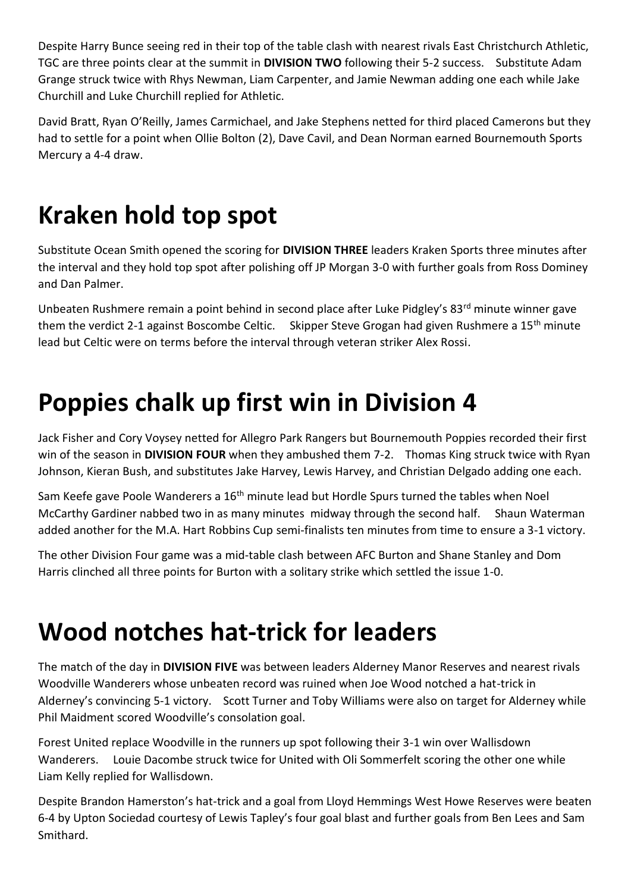Despite Harry Bunce seeing red in their top of the table clash with nearest rivals East Christchurch Athletic, TGC are three points clear at the summit in **DIVISION TWO** following their 5-2 success. Substitute Adam Grange struck twice with Rhys Newman, Liam Carpenter, and Jamie Newman adding one each while Jake Churchill and Luke Churchill replied for Athletic.

David Bratt, Ryan O'Reilly, James Carmichael, and Jake Stephens netted for third placed Camerons but they had to settle for a point when Ollie Bolton (2), Dave Cavil, and Dean Norman earned Bournemouth Sports Mercury a 4-4 draw.

# **Kraken hold top spot**

Substitute Ocean Smith opened the scoring for **DIVISION THREE** leaders Kraken Sports three minutes after the interval and they hold top spot after polishing off JP Morgan 3-0 with further goals from Ross Dominey and Dan Palmer.

Unbeaten Rushmere remain a point behind in second place after Luke Pidgley's 83<sup>rd</sup> minute winner gave them the verdict 2-1 against Boscombe Celtic. Skipper Steve Grogan had given Rushmere a 15<sup>th</sup> minute lead but Celtic were on terms before the interval through veteran striker Alex Rossi.

## **Poppies chalk up first win in Division 4**

Jack Fisher and Cory Voysey netted for Allegro Park Rangers but Bournemouth Poppies recorded their first win of the season in **DIVISION FOUR** when they ambushed them 7-2. Thomas King struck twice with Ryan Johnson, Kieran Bush, and substitutes Jake Harvey, Lewis Harvey, and Christian Delgado adding one each.

Sam Keefe gave Poole Wanderers a 16<sup>th</sup> minute lead but Hordle Spurs turned the tables when Noel McCarthy Gardiner nabbed two in as many minutes midway through the second half. Shaun Waterman added another for the M.A. Hart Robbins Cup semi-finalists ten minutes from time to ensure a 3-1 victory.

The other Division Four game was a mid-table clash between AFC Burton and Shane Stanley and Dom Harris clinched all three points for Burton with a solitary strike which settled the issue 1-0.

# **Wood notches hat-trick for leaders**

The match of the day in **DIVISION FIVE** was between leaders Alderney Manor Reserves and nearest rivals Woodville Wanderers whose unbeaten record was ruined when Joe Wood notched a hat-trick in Alderney's convincing 5-1 victory. Scott Turner and Toby Williams were also on target for Alderney while Phil Maidment scored Woodville's consolation goal.

Forest United replace Woodville in the runners up spot following their 3-1 win over Wallisdown Wanderers. Louie Dacombe struck twice for United with Oli Sommerfelt scoring the other one while Liam Kelly replied for Wallisdown.

Despite Brandon Hamerston's hat-trick and a goal from Lloyd Hemmings West Howe Reserves were beaten 6-4 by Upton Sociedad courtesy of Lewis Tapley's four goal blast and further goals from Ben Lees and Sam Smithard.